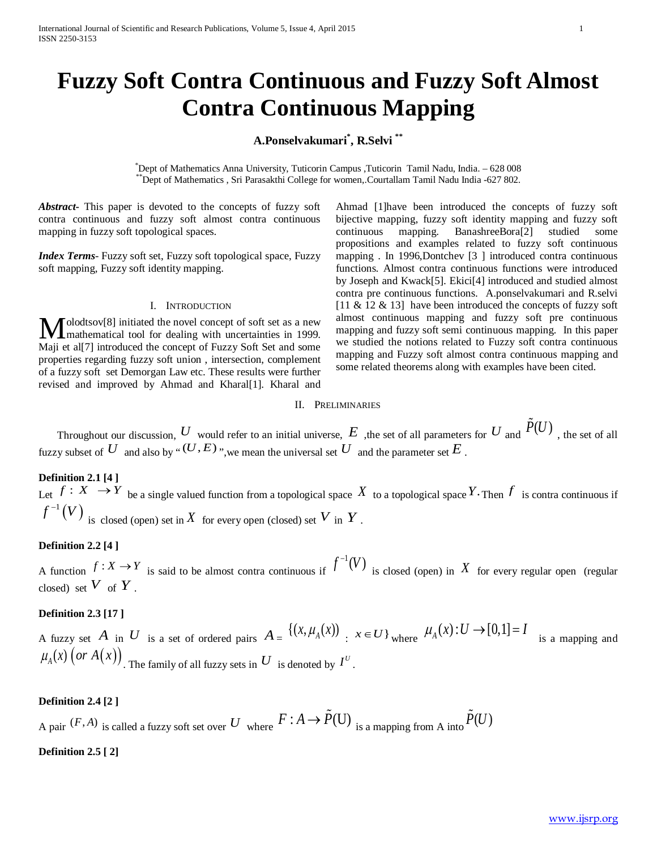# **Fuzzy Soft Contra Continuous and Fuzzy Soft Almost Contra Continuous Mapping**

## **A.Ponselvakumari\* , R.Selvi \*\***

\*Dept of Mathematics Anna University, Tuticorin Campus ,Tuticorin Tamil Nadu, India. – 628 008 "Dept of Mathematics , Sri Parasakthi College for women,.Courtallam Tamil Nadu India -627 802.

*Abstract***-** This paper is devoted to the concepts of fuzzy soft contra continuous and fuzzy soft almost contra continuous mapping in fuzzy soft topological spaces.

*Index Terms*- Fuzzy soft set, Fuzzy soft topological space, Fuzzy soft mapping, Fuzzy soft identity mapping.

#### I. INTRODUCTION

olodtsov[8] initiated the novel concept of soft set as a new **M**olodtsov<sup>[8]</sup> initiated the novel concept of soft set as a new mathematical tool for dealing with uncertainties in 1999. Maji et al[7] introduced the concept of Fuzzy Soft Set and some properties regarding fuzzy soft union , intersection, complement of a fuzzy soft set Demorgan Law etc. These results were further revised and improved by Ahmad and Kharal[1]. Kharal and

Ahmad [1]have been introduced the concepts of fuzzy soft bijective mapping, fuzzy soft identity mapping and fuzzy soft continuous mapping. BanashreeBora[2] studied some propositions and examples related to fuzzy soft continuous mapping . In 1996,Dontchev [3 ] introduced contra continuous functions. Almost contra continuous functions were introduced by Joseph and Kwack[5]. Ekici[4] introduced and studied almost contra pre continuous functions. A.ponselvakumari and R.selvi [11  $\&$  12  $\&$  13] have been introduced the concepts of fuzzy soft almost continuous mapping and fuzzy soft pre continuous mapping and fuzzy soft semi continuous mapping. In this paper we studied the notions related to Fuzzy soft contra continuous mapping and Fuzzy soft almost contra continuous mapping and some related theorems along with examples have been cited.

#### II. PRELIMINARIES

Throughout our discussion,  $U$  would refer to an initial universe,  $E$  , the set of all parameters for  $U$  and  $P(U)$ , the set of all fuzzy subset of *U* and also by " $(U, E)$ ", we mean the universal set *U* and the parameter set *E*.

**Definition 2.1 [4 ]** Let  $f: X \to Y$  be a single valued function from a topological space X to a topological space Y. Then  $f$  is contra continuous if  $f^{-1}(V)$  is closed (open) set in  $X$  for every open (closed) set  $V$  in  $Y$  .

#### **Definition 2.2 [4 ]**

A function  $f: X \to Y$  is said to be almost contra continuous if  $f^{-1}(V)$  is closed (open) in X for every regular open (regular closed) set  $V$  of  $Y$ .

## **Definition 2.3 [17 ]**

A fuzzy set *A* in *U* is a set of ordered pairs  $A = \{(x, \mu_A(x)) : x \in U\}$  where  $\mu_A(x): U \to [0,1] = I$  is a mapping and  $\mu_A(x)$   $\big($  or  $A(x)\big)$ <sub>. The family of all fuzzy sets in  $U$  is denoted by  $I^U$ .</sub>

#### **Definition 2.4 [2 ]**

A pair  $(F, A)$  is called a fuzzy soft set over *U* where  $F: A \to \tilde{P}(U)$  is a mapping from A into  $\tilde{P}(U)$ 

#### **Definition 2.5 [ 2]**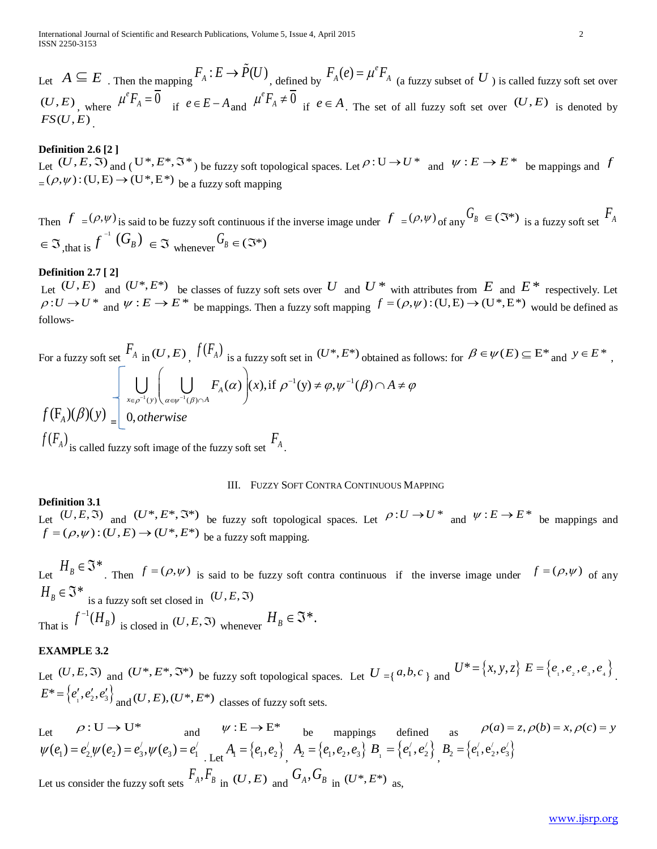Let  $A \subseteq E$ . Then the mapping  $F_A : E \to \tilde{P}(U)$ , defined by  $F_A(e) = \mu^e F_A$  (a fuzzy subset of *U*) is called fuzzy soft set over  $(U, E)$  where  $\mu^e F_A = \overline{0}$  if  $e \in E-A$  and  $\mu^e F_A \neq \overline{0}$  if  $e \in A$ . The set of all fuzzy soft set over  $(U, E)$  is denoted by  $FS(U,E)$ 

#### **Definition 2.6 [2 ]**

Let  $(U, E, \Im)$  and  $(U^*, E^*, \Im^*)$  be fuzzy soft topological spaces. Let  $\rho: U \to U^*$  and  $\Psi: E \to E^*$  be mappings and *f*  $=(\rho, \psi) : (U, E) \rightarrow (U^*, E^*)$  be a fuzzy soft mapping

Then  $f = (\rho, \psi)$  is said to be fuzzy soft continuous if the inverse image under  $f = (\rho, \psi)$  of any  $G_B \in (\mathbb{S}^*)$  is a fuzzy soft set  $F_A$  $\in \mathfrak{I}_{\mathfrak{z},\text{that is}} f^{-1}(G_{B}) \in \mathfrak{I}_{\text{whenever}} G_{B} \in (\mathfrak{I}^*)$ 

# **Definition 2.7 [ 2]**

Let  $(U, E)$  and  $(U^*, E^*)$  be classes of fuzzy soft sets over  $U$  and  $U^*$  with attributes from  $E$  and  $E^*$  respectively. Let  $\rho: U \to U^*$  and  $\Psi: E \to E^*$  be mappings. Then a fuzzy soft mapping  $f = (\rho, \psi): (U, E) \to (U^*, E^*)$  would be defined as follows-

For a fuzzy soft set 
$$
\begin{bmatrix} F_A \\ \text{in} \ (U, E) \end{bmatrix}
$$
,  $f(F_A)$  is a fuzzy soft set in  $(U^*, E^*)$  obtained as follows: for  $\beta \in \psi(E) \subseteq E^*$  and  $y \in E^*$ ,  
\n
$$
\int \bigcup_{x \in \rho^{-1}(y)} \bigg( \bigcup_{\alpha \in \psi^{-1}(\beta) \cap A} F_A(\alpha) \bigg) (x), \text{if } \rho^{-1}(y) \neq \varphi, \psi^{-1}(\beta) \cap A \neq \varphi
$$
\n
$$
f(F_A)(\beta)(y) = \bigg[ 0, \text{otherwise}
$$
\n
$$
f(F_A)
$$
\nis called fuzzy soft image of the fuzzy soft set  $\begin{aligned} F_A \end{aligned}$ .

#### III. FUZZY SOFT CONTRA CONTINUOUS MAPPING

#### **Definition 3.1**

Let  $(U, E, \mathfrak{I})$  and  $(U^*, E^*, \mathfrak{I}^*)$  be fuzzy soft topological spaces. Let  $\rho: U \to U^*$  and  $\psi: E \to E^*$  be mappings and  $f = (\rho, \psi) : (U, E) \rightarrow (U^*, E^*)$  be a fuzzy soft mapping.

Let  $H_B \in \mathfrak{I}^*$ . Then  $f = (\rho, \psi)$  is said to be fuzzy soft contra continuous if the inverse image under  $f = (\rho, \psi)$  of any  $H_B \in \mathfrak{J}^*$  is a fuzzy soft set closed in  $(U, E, \mathfrak{I})$ That is  $f^{-1}(H_B)$  is closed in  $(U, E, \mathfrak{S})$  whenever  $H_B \in \mathfrak{S}^*$ .

## **EXAMPLE 3.2**

Let  $(U, E, \mathfrak{I})$  and  $(U^*, E^*, \mathfrak{I}^*)$  be fuzzy soft topological spaces. Let  $U = \{a, b, c\}$  and  $U^* = \{x, y, z\}$   $E = \{e_1, e_2, e_3, e_4\}$ .  $E^* = \{e'_1, e'_2, e'_3\}$ <sub>and</sub>  $(U, E), (U^*, E^*)$  classes of fuzzy soft sets.

Let  $\rho: U \to U^*$  and  $\psi: E \to E^*$  be mappings defined as  $\rho(a) = z, \rho(b) = x, \rho(c) = y$  $\psi(e_1) = e'_2 \psi(e_2) = e'_3, \psi(e_3) = e'_1$  Let  $A_1 = \{e_1, e_2\}$ ,  $A_2 = \{e_1, e_2, e_3\}$   $B_1 = \{e'_1, e'_2\}$ ,  $B_2 = \{e'_1, e'_2, e'_3\}$ Let us consider the fuzzy soft sets  $F_A, F_B$  in  $(U, E)$  and  $G_A, G_B$  in  $(U^*, E^*)$  as,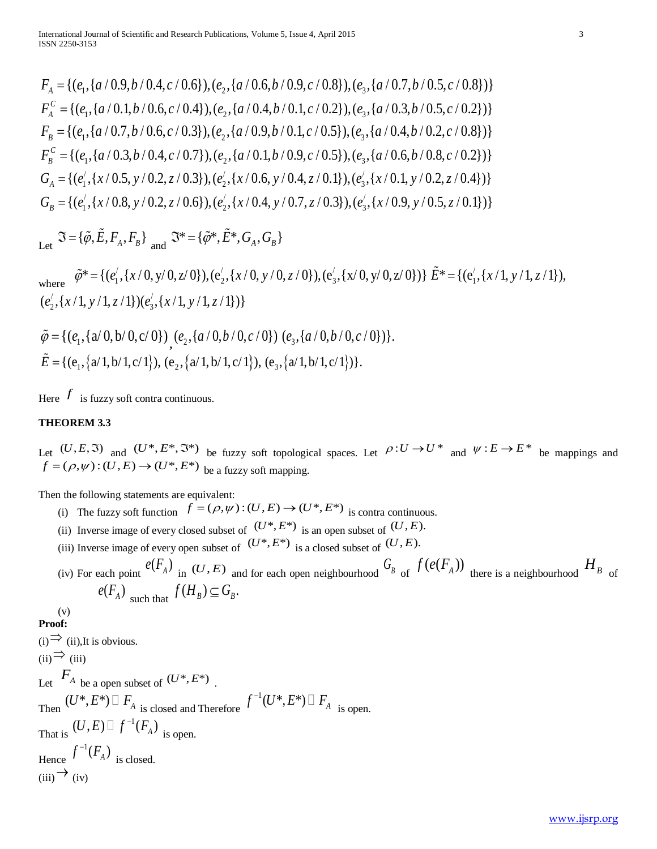$F_{4} = \{(e_{1}, \{a/0.9, b/0.4, c/0.6\}), (e_{2}, \{a/0.6, b/0.9, c/0.8\}), (e_{3}, \{a/0.7, b/0.5, c/0.8\})\}$  $F_{\scriptscriptstyle{A}}^{\scriptscriptstyle{C}} = \{ (e_{\scriptscriptstyle{A}}, \{ a / 0.1, b / 0.6, c / 0.4 \}), (e_{\scriptscriptstyle{A}}, \{ a / 0.4, b / 0.1, c / 0.2 \}), (e_{\scriptscriptstyle{A}}, \{ a / 0.3, b / 0.5, c / 0.2 \}) \}$  $F_p = \{(e_1, \{a/0.7, b/0.6, c/0.3\}), (e_2, \{a/0.9, b/0.1, c/0.5\}), (e_3, \{a/0.4, b/0.2, c/0.8\})\}$  $F_{\rm g}^{\rm c} = \{ (e_1, \{a/0.3, b/0.4, c/0.7\}), (e_2, \{a/0.1, b/0.9, c/0.5\}), (e_3, \{a/0.6, b/0.8, c/0.2\}) \}$  $G_A = \{ (e'_1, \{x/0.5, y/0.2, z/0.3\}), (e'_2, \{x/0.6, y/0.4, z/0.1\}), (e'_3, \{x/0.1, y/0.2, z/0.4\}) \}$  $G_B = \{ (e'_1, \{x/0.8, y/0.2, z/0.6\}), (e'_2, \{x/0.4, y/0.7, z/0.3\}), (e'_3, \{x/0.9, y/0.5, z/0.1\}) \}$ 

 $\mathfrak{J} = {\lbrace \tilde{\varphi}, \tilde{E}, F_A, F_B \rbrace}_{\text{and}} \mathfrak{J}^* = {\lbrace \tilde{\varphi}^*, \tilde{E}^*, G_A, G_B \rbrace}$ 

where  $\tilde{\varphi}^* = \{ (e'_1, \{x/0, y/0, z/0\}), (e'_2, \{x/0, y/0, z/0\}), (e'_3, \{x/0, y/0, z/0\}) \} \tilde{E}^* = \{ (e'_1, \{x/1, y/1, z/1\}), (e'_2, \{x/0, y/0, z/0\}) \}$  $(e'_2, \{x/1, y/1, z/1\}) (e'_3, \{x/1, y/1, z/1\})\}$ 

$$
\tilde{\varphi} = \{ (e_1, \{a/0, b/0, c/0\}) , (e_2, \{a/0, b/0, c/0\}) (e_3, \{a/0, b/0, c/0\}) \}.
$$
  

$$
\tilde{E} = \{ (e_1, \{a/1, b/1, c/1\}), (e_2, \{a/1, b/1, c/1\}), (e_3, \{a/1, b/1, c/1\}) \}.
$$

Here  $f$  is fuzzy soft contra continuous.

## **THEOREM 3.3**

Let  $(U, E, \mathfrak{I})$  and  $(U^*, E^*, \mathfrak{I}^*)$  be fuzzy soft topological spaces. Let  $\rho: U \to U^*$  and  $\psi: E \to E^*$  be mappings and  $f = (\rho, \psi) : (U, E) \rightarrow (U^*, E^*)$  be a fuzzy soft mapping.

Then the following statements are equivalent:

- (i) The fuzzy soft function  $f = (\rho, \psi) : (U, E) \to (U^*, E^*)$  is contra continuous.
- (ii) Inverse image of every closed subset of  $(U^*, E^*)$  is an open subset of  $(U, E)$ .
- (iii) Inverse image of every open subset of  $(U^*, E^*)$  is a closed subset of  $(U, E)$ .
- (iv) For each point  $e(F_A)$  in  $(U, E)$  and for each open neighbourhood  $G_B$  of  $f(e(F_A))$  there is a neighbourhood  $H_B$  of  $e(F_A)$  such that  $f(H_B) \subseteq G_B$ .

#### (v) **Proof:**

 $(i)$ <sup>⇒</sup> (ii),It is obvious.  $(ii)$ <sup>⇒</sup> (iii) Let  $F_A$  be a open subset of  $(U^*, E^*)$ Then  $(U^*, E^*) \square F_A$  is closed and Therefore  $f^{-1}(U^*, E^*) \square F_A$  is open. That is  $(U, E) \square f^{-1}(F_A)$  is open. Hence  $f^{-1}(F_A)$  is closed.  $(iii) \rightarrow (iv)$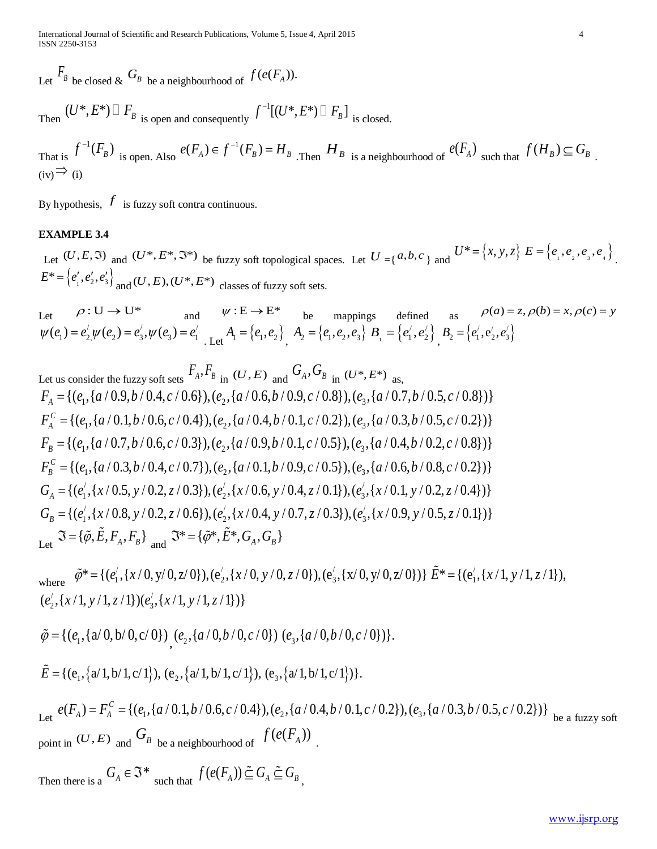International Journal of Scientific and Research Publications, Volume 5, Issue 4, April 2015 4 ISSN 2250-3153

Let  $\overline{F}_B$  be closed  $\&$   $G_B$  be a neighbourhood of  $f(e(F_A))$ .

Then  $(U^*, E^*) \square F_B$  is open and consequently  $f^{-1}[(U^\divideontimes,E^\divideontimes)\sqcup F_{_B}\,]$   $_{\rm is\ closed.}$ 

That is 
$$
f^{-1}(F_B)
$$
 is open. Also  $e(F_A) \in f^{-1}(F_B) = H_B$ . Then  $H_B$  is a neighbourhood of  $e(F_A)$  such that  $f(H_B) \subseteq G_B$ .  
\n(iv)  $\Rightarrow$  (i)

By hypothesis,  $f$  is fuzzy soft contra continuous.

## **EXAMPLE 3.4**

Let  $(U, E, \mathfrak{I})$  and  $(U^*, E^*, \mathfrak{I}^*)$  be fuzzy soft topological spaces. Let  $U = \{a, b, c\}$  and  $U^* = \{x, y, z\}$   $E = \{e_1, e_2, e_3, e_4\}$ .  $E^* = \{e'_1, e'_2, e'_3\}$ <sub>and</sub>  $(U, E), (U^*, E^*)$  classes of fuzzy soft sets.

 $\rho : U \to U^*$  and  $\psi : E \to E^*$  be mappings defined as  $\rho(a) = z, \rho(b) = x, \rho(c) = y$  $\psi(e_1) = e'_2 \psi(e_2) = e'_3, \psi(e_3) = e'_1$  Let  $A_1 = \{e_1, e_2\}$ ,  $A_2 = \{e_1, e_2, e_3\}$   $B_1 = \{e'_1, e'_2\}$ ,  $B_2 = \{e'_1, e'_2, e'_3\}$ 

Let us consider the fuzzy soft sets  $F_A, F_B$  in  $(U, E)$  and  $G_A, G_B$  in  $(U^*, E^*)$  as,  $F_A = \{(e_1, \{a/0.9, b/0.4, c/0.6\}), (e_2, \{a/0.6, b/0.9, c/0.8\}), (e_3, \{a/0.7, b/0.5, c/0.8\})\}$  $F_{\scriptscriptstyle{A}}^{\scriptscriptstyle{C}} = \{ (e_1, \{a/0.1, b/0.6, c/0.4\}), (e_2, \{a/0.4, b/0.1, c/0.2\}), (e_2, \{a/0.3, b/0.5, c/0.2\}) \}$  $F_p = \{(e_1, \{a/0.7, b/0.6, c/0.3\}), (e_2, \{a/0.9, b/0.1, c/0.5\}), (e_2, \{a/0.4, b/0.2, c/0.8\})\}$  $F_p^C = \{(e_1, \{a/0.3, b/0.4, c/0.7\}), (e_2, \{a/0.1, b/0.9, c/0.5\}), (e_3, \{a/0.6, b/0.8, c/0.2\})\}$  $G_A = \{ (e'_1, \{x/0.5, y/0.2, z/0.3\}), (e'_2, \{x/0.6, y/0.4, z/0.1\}), (e'_3, \{x/0.1, y/0.2, z/0.4\}) \}$  $G_B = \{ (e'_1, \{x/0.8, y/0.2, z/0.6\}), (e'_2, \{x/0.4, y/0.7, z/0.3\}), (e'_3, \{x/0.9, y/0.5, z/0.1\}) \}$  $\mathfrak{J} = {\{\tilde{\varphi}, \tilde{E}, F_A, F_B\}}$  and  $\mathfrak{J}^* = {\{\tilde{\varphi}^*, \tilde{E}^*, G_A, G_B\}}$ 

where  $\tilde{\varphi}^* = \{ (e'_1, \{x/0, y/0, z/0\}), (e'_2, \{x/0, y/0, z/0\}), (e'_3, \{x/0, y/0, z/0\}) \} \tilde{E}^* = \{ (e'_1, \{x/1, y/1, z/1\}), (e'_2, \{x/0, y/0, z/0\}) \}$  $(e'_2, \{x/1, y/1, z/1\}) (e'_3, \{x/1, y/1, z/1\})\}$ 

$$
\tilde{\varphi} = \{ (e_1, \{a/0, b/0, c/0\}) , (e_2, \{a/0, b/0, c/0\}) (e_3, \{a/0, b/0, c/0\}) \}.
$$

$$
\tilde{E} = \{ (e_1, \{a/1, b/1, c/1\}), (e_2, \{a/1, b/1, c/1\}), (e_3, \{a/1, b/1, c/1\}) \}.
$$

Let  $e(F_A) = F_A^C = \{(e_1, \{a/0.1, b/0.6, c/0.4\}), (e_2, \{a/0.4, b/0.1, c/0.2\}), (e_3, \{a/0.3, b/0.5, c/0.2\})\}$  be a fuzzy soft point in  $(U, E)$  and  $\mathbb{G}_B$  be a neighbourhood of  $f(e(\mathbb{F}_A))$ .

Then there is a  $G_A \in \mathfrak{S}^*$  such that  $f(e(F_A)) \subseteq G_A \subseteq G_B$ ,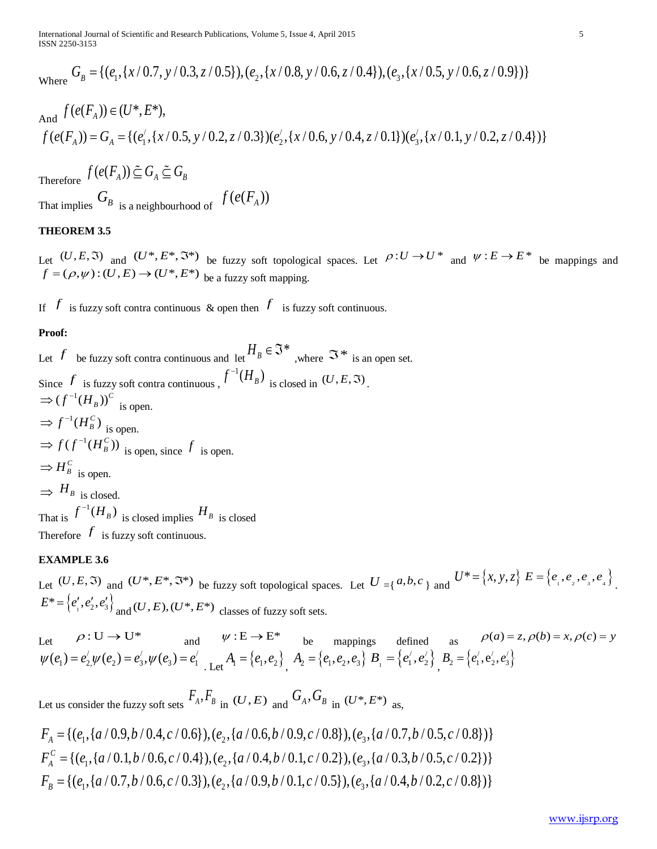$G_B = \{(e_1, \{x/0.7, y/0.3, z/0.5\}), (e_2, \{x/0.8, y/0.6, z/0.4\}), (e_3, \{x/0.5, y/0.6, z/0.9\})\}$ 

And 
$$
f(e(F_A)) \in (U^*, E^*)
$$
,  
\n $f(e(F_A)) = G_A = \{(e_1', \{x/0.5, y/0.2, z/0.3\})(e_2', \{x/0.6, y/0.4, z/0.1\})(e_3', \{x/0.1, y/0.2, z/0.4\})\}$ 

Therefore  $f(e(F_A)) \subseteq G_A \subseteq G_B$ 

That implies  $G_B$  is a neighbourhood of  $f(e(F_A))$ 

## **THEOREM 3.5**

Let  $(U, E, \mathfrak{I})$  and  $(U^*, E^*, \mathfrak{I}^*)$  be fuzzy soft topological spaces. Let  $\rho: U \to U^*$  and  $\psi: E \to E^*$  be mappings and  $f = (\rho, \psi) : (U, E) \rightarrow (U^*, E^*)$  be a fuzzy soft mapping.

If *f* is fuzzy soft contra continuous & open then *f* is fuzzy soft continuous.

#### **Proof:**

Let  $f$  be fuzzy soft contra continuous and let  $H_B \in \mathfrak{I}^*$  , where  $\mathfrak{I}^*$  is an open set. Since  $f$  is fuzzy soft contra continuous ,  $f^{-1}(H_B)$  is closed in  $(U, E, \Im)$ .  $\Rightarrow (f^{-1}(H_B))^C$  is open.  $\Rightarrow f^{-1}(H_B^C)$  is open.  $\Rightarrow$   $f(f^{-1}(H_B^C))$  is open, since f is open.  $\Rightarrow$  *H*<sup>*C*</sup> is open.  $\Rightarrow$  *H<sub>B</sub>* is closed. That is  $f^{-1}(H_B)$  is closed implies  $H_B$  is closed Therefore  $f$  is fuzzy soft continuous.

## **EXAMPLE 3.6**

Let  $(U, E, \mathfrak{I})$  and  $(U^*, E^*, \mathfrak{I}^*)$  be fuzzy soft topological spaces. Let  $U = \{a, b, c\}$  and  $U^* = \{x, y, z\}$   $E = \{e_1, e_2, e_3, e_4\}$ .  $E^* = \{e'_1, e'_2, e'_3\}$ <sub>and</sub>  $(U, E), (U^*, E^*)$  classes of fuzzy soft sets.

Let  $\rho: U \to U^*$  and  $\psi: E \to E^*$  be mappings defined as  $\rho(a) = z, \rho(b) = x, \rho(c) = y$  $\psi(e_1) = e'_2 \psi(e_2) = e'_3, \psi(e_3) = e'_1$  Let  $A_1 = \{e_1, e_2\}$ ,  $A_2 = \{e_1, e_2, e_3\}$   $B_1 = \{e'_1, e'_2\}$ ,  $B_2 = \{e'_1, e'_2, e'_3\}$ 

Let us consider the fuzzy soft sets  $F_A, F_B$  in  $(U, E)$  and  $G_A, G_B$  in  $(U^*, E^*)$  as,

$$
F_A = \{ (e_1, \{a/0.9, b/0.4, c/0.6\}), (e_2, \{a/0.6, b/0.9, c/0.8\}), (e_3, \{a/0.7, b/0.5, c/0.8\}) \}
$$
  
\n
$$
F_A^C = \{ (e_1, \{a/0.1, b/0.6, c/0.4\}), (e_2, \{a/0.4, b/0.1, c/0.2\}), (e_3, \{a/0.3, b/0.5, c/0.2\}) \}
$$
  
\n
$$
F_B = \{ (e_1, \{a/0.7, b/0.6, c/0.3\}), (e_2, \{a/0.9, b/0.1, c/0.5\}), (e_3, \{a/0.4, b/0.2, c/0.8\}) \}
$$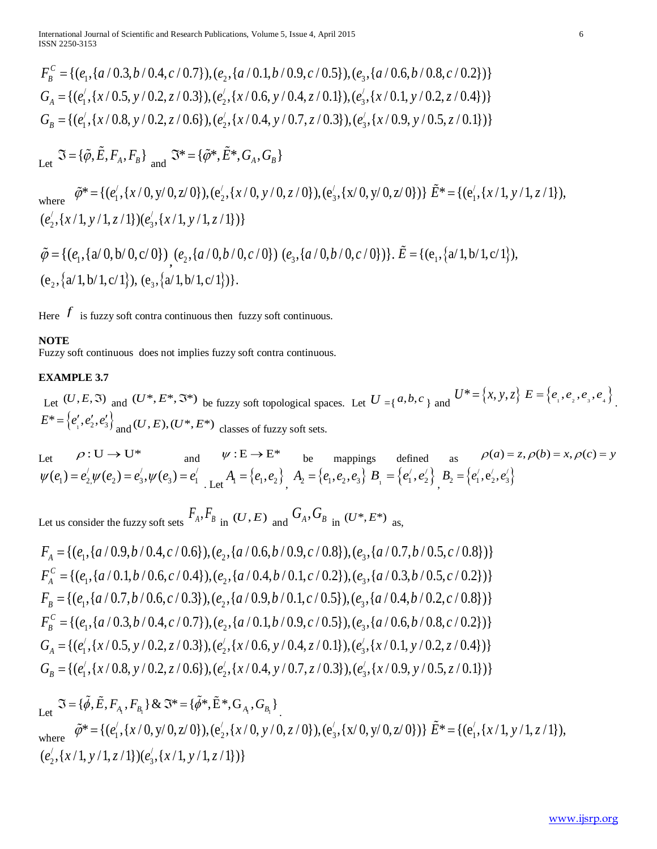$$
F_B^C = \{(e_1, \{a/0.3, b/0.4, c/0.7\}), (e_2, \{a/0.1, b/0.9, c/0.5\}), (e_3, \{a/0.6, b/0.8, c/0.2\})\}
$$
  
\n
$$
G_A = \{(e_1^{\prime}, \{x/0.5, y/0.2, z/0.3\}), (e_2^{\prime}, \{x/0.6, y/0.4, z/0.1\}), (e_3^{\prime}, \{x/0.1, y/0.2, z/0.4\})\}
$$
  
\n
$$
G_B = \{(e_1^{\prime}, \{x/0.8, y/0.2, z/0.6\}), (e_2^{\prime}, \{x/0.4, y/0.7, z/0.3\}), (e_3^{\prime}, \{x/0.9, y/0.5, z/0.1\})\}
$$

 $\mathfrak{J} = {\lbrace \tilde{\varphi}, \tilde{E}, F_A, F_B \rbrace}_{\text{and}} \mathfrak{I}^* = {\lbrace \tilde{\varphi}^*, \tilde{E}^*, G_A, G_B \rbrace}$ 

where  $\tilde{\varphi}^* = \{ (e'_1, \{x/0, y/0, z/0\}), (e'_2, \{x/0, y/0, z/0\}), (e'_3, \{x/0, y/0, z/0\}) \} \tilde{E}^* = \{ (e'_1, \{x/1, y/1, z/1\}), (e'_2, \{x/0, y/0, z/0\}) \}$  $(e'_2, \{x/1, y/1, z/1\}) (e'_3, \{x/1, y/1, z/1\})\}$ 

$$
\tilde{\varphi} = \{ (e_1, \{a/0, b/0, c/0\}) , (e_2, \{a/0, b/0, c/0\}) (e_3, \{a/0, b/0, c/0\}) \}.
$$
\n
$$
\tilde{E} = \{ (e_1, \{a/1, b/1, c/1\}), (e_2, \{a/1, b/1, c/1\}) \}.
$$

Here  $f$  is fuzzy soft contra continuous then fuzzy soft continuous.

#### **NOTE**

Fuzzy soft continuous does not implies fuzzy soft contra continuous.

## **EXAMPLE 3.7**

Let  $(U, E, \mathfrak{I})$  and  $(U^*, E^*, \mathfrak{I}^*)$  be fuzzy soft topological spaces. Let  $U = \{a, b, c\}$  and  $U^* = \{x, y, z\}$   $E = \{e_1, e_2, e_3, e_4\}$ .  $E^* = \{e'_1, e'_2, e'_3\}$ <sub>and</sub>  $(U, E), (U^*, E^*)$  classes of fuzzy soft sets.

Let  $\rho: U \to U^*$  and  $\psi: E \to E^*$  be mappings defined as  $\rho(a) = z, \rho(b) = x, \rho(c) = y$  $\psi(e_1) = e'_2 \psi(e_2) = e'_3, \psi(e_3) = e'_1$  Let  $A_1 = \{e_1, e_2\}$ ,  $A_2 = \{e_1, e_2, e_3\}$   $B_1 = \{e'_1, e'_2\}$ ,  $B_2 = \{e'_1, e'_2, e'_3\}$ 

Let us consider the fuzzy soft sets  $F_A, F_B$  in  $(U, E)$  and  $G_A, G_B$  in  $(U^*, E^*)$  as,

$$
F_A = \{(e_1, \{a/0.9, b/0.4, c/0.6\}), (e_2, \{a/0.6, b/0.9, c/0.8\}), (e_3, \{a/0.7, b/0.5, c/0.8\})\}
$$
  
\n
$$
F_A^c = \{(e_1, \{a/0.1, b/0.6, c/0.4\}), (e_2, \{a/0.4, b/0.1, c/0.2\}), (e_3, \{a/0.3, b/0.5, c/0.2\})\}
$$
  
\n
$$
F_B = \{(e_1, \{a/0.7, b/0.6, c/0.3\}), (e_2, \{a/0.9, b/0.1, c/0.5\}), (e_3, \{a/0.4, b/0.2, c/0.8\})\}
$$
  
\n
$$
F_B^c = \{(e_1, \{a/0.3, b/0.4, c/0.7\}), (e_2, \{a/0.1, b/0.9, c/0.5\}), (e_3, \{a/0.6, b/0.8, c/0.2\})\}
$$
  
\n
$$
G_A = \{(e_1', \{x/0.5, y/0.2, z/0.3\}), (e_2', \{x/0.6, y/0.4, z/0.1\}), (e_3', \{x/0.1, y/0.2, z/0.4\})\}
$$
  
\n
$$
G_B = \{(e_1', \{x/0.8, y/0.2, z/0.6\}), (e_2', \{x/0.4, y/0.7, z/0.3\}), (e_3', \{x/0.9, y/0.5, z/0.1\})\}
$$

Let  $\Im$  = { $\tilde{\phi}$ ,  $\tilde{E}$ ,  $F_{A_1}$ ,  $F_{B_1}$ } &  $\Im$ \* = { $\tilde{\phi}$ \*,  $\tilde{E}$ \*,  $G_{A_1}$ ,  $G_{B_1}$ }.

where  $\tilde{\varphi}^* = \{ (e'_1, \{x/0, y/0, z/0\}), (e'_2, \{x/0, y/0, z/0\}), (e'_3, \{x/0, y/0, z/0\}) \} \tilde{E}^* = \{ (e'_1, \{x/1, y/1, z/1\}), (e'_2, \{x/0, y/0, z/0\}) \}$  $(e'_2, \{x/1, y/1, z/1\}) (e'_3, \{x/1, y/1, z/1\})\}$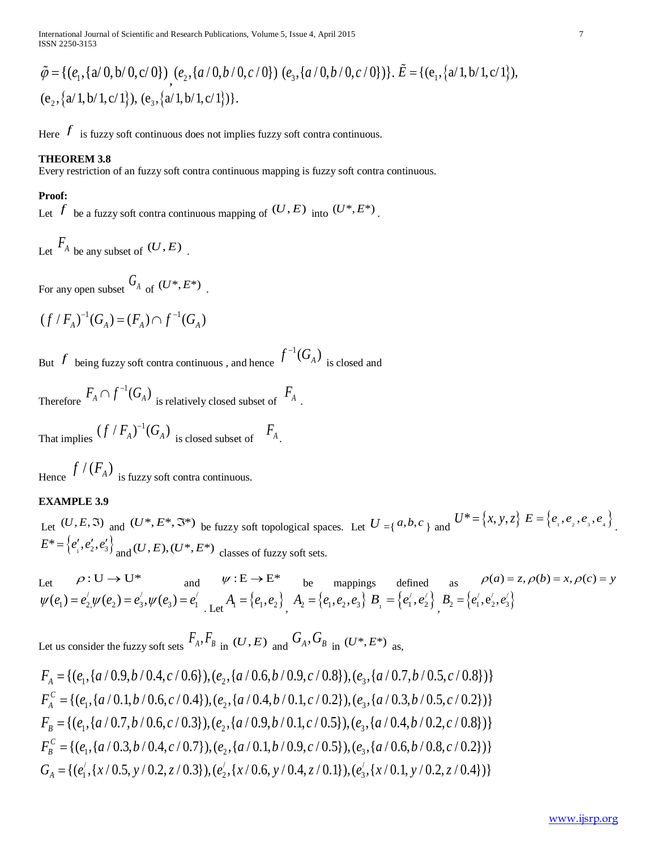$$
\tilde{\varphi} = \{ (e_1, \{a/0, b/0, c/0\}) , (e_2, \{a/0, b/0, c/0\}) (e_3, \{a/0, b/0, c/0\}) \}.
$$
\n
$$
\tilde{E} = \{ (e_1, \{a/1, b/1, c/1\}), (e_2, \{a/1, b/1, c/1\}) \}.
$$

Here  $f$  is fuzzy soft continuous does not implies fuzzy soft contra continuous.

#### **THEOREM 3.8**

Every restriction of an fuzzy soft contra continuous mapping is fuzzy soft contra continuous.

## **Proof:**

Let  $f$  be a fuzzy soft contra continuous mapping of  $(U, E)$  into  $(U^*, E^*)$ .

Let 
$$
\overline{F}_A
$$
 be any subset of  $(U, E)$ .

For any open subset  $G_A$  of  $(U^*, E^*)$ .

$$
(f / F_A)^{-1}(G_A) = (F_A) \cap f^{-1}(G_A)
$$

But  $f$  being fuzzy soft contra continuous , and hence  $f^{-1}(G_{\scriptscriptstyle{A}})$  is closed and

Therefore  $F_A \cap f^{-1}(G_A)$  is relatively closed subset of  $F_A$ .

That implies  $(f / F_A)^{-1}(G_A)$  is closed subset of  $F_A$ .

Hence  $f/(F_A)$  is fuzzy soft contra continuous.

## **EXAMPLE 3.9**

Let  $(U, E, \mathfrak{I})$  and  $(U^*, E^*, \mathfrak{I}^*)$  be fuzzy soft topological spaces. Let  $U = \{a, b, c\}$  and  $U^* = \{x, y, z\}$   $E = \{e_1, e_2, e_3, e_4\}$ .  $E^* = \{e'_1, e'_2, e'_3\}$ <sub>and</sub>  $(U, E), (U^*, E^*)$  classes of fuzzy soft sets.

Let  $\rho: U \to U^*$  and  $\psi: E \to E^*$  be mappings defined as  $\rho(a) = z, \rho(b) = x, \rho(c) = y$  $\psi(e_1) = e'_2 \psi(e_2) = e'_3, \psi(e_3) = e'_1$  Let  $A_1 = \{e_1, e_2\}$ ,  $A_2 = \{e_1, e_2, e_3\}$   $B_1 = \{e'_1, e'_2\}$ ,  $B_2 = \{e'_1, e'_2, e'_3\}$ 

Let us consider the fuzzy soft sets  $F_A, F_B$  in  $(U, E)$  and  $G_A, G_B$  in  $(U^*, E^*)$  as,

$$
F_A = \{(e_1, \{a/0.9, b/0.4, c/0.6\}), (e_2, \{a/0.6, b/0.9, c/0.8\}), (e_3, \{a/0.7, b/0.5, c/0.8\})\}
$$
  
\n
$$
F_A^C = \{(e_1, \{a/0.1, b/0.6, c/0.4\}), (e_2, \{a/0.4, b/0.1, c/0.2\}), (e_3, \{a/0.3, b/0.5, c/0.2\})\}
$$
  
\n
$$
F_B = \{(e_1, \{a/0.7, b/0.6, c/0.3\}), (e_2, \{a/0.9, b/0.1, c/0.5\}), (e_3, \{a/0.4, b/0.2, c/0.8\})\}
$$
  
\n
$$
F_B^C = \{(e_1, \{a/0.3, b/0.4, c/0.7\}), (e_2, \{a/0.1, b/0.9, c/0.5\}), (e_3, \{a/0.6, b/0.8, c/0.2\})\}
$$
  
\n
$$
G_A = \{(e_1', \{x/0.5, y/0.2, z/0.3\}), (e_2', \{x/0.6, y/0.4, z/0.1\}), (e_3', \{x/0.1, y/0.2, z/0.4\})\}
$$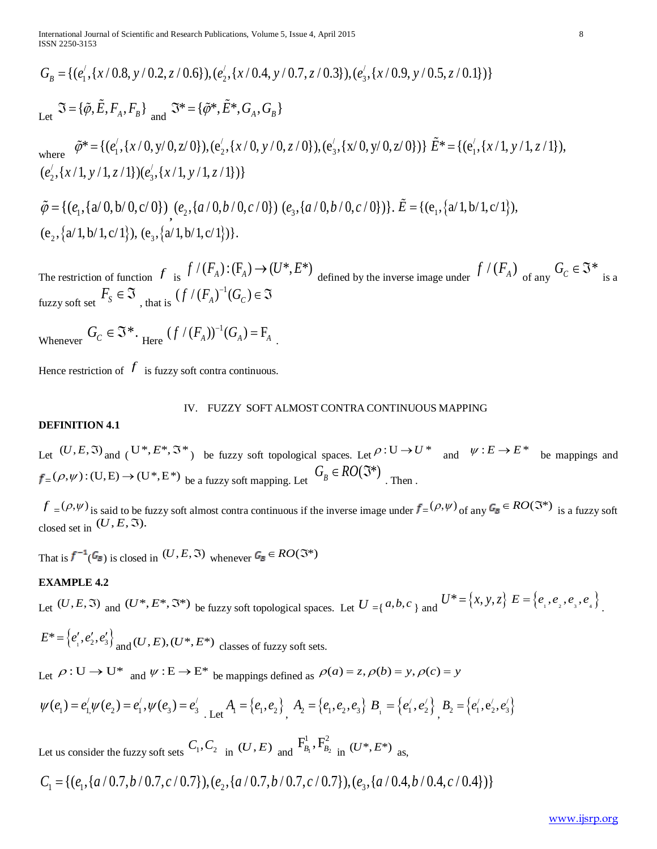$$
G_B = \{ (e'_1, \{x/0.8, y/0.2, z/0.6\}), (e'_2, \{x/0.4, y/0.7, z/0.3\}), (e'_3, \{x/0.9, y/0.5, z/0.1\}) \}
$$
  
Let  $\Im = \{\tilde{\varphi}, \tilde{E}, F_A, F_B\}$  and  $\Im^* = \{\tilde{\varphi}^*, \tilde{E}^*, G_A, G_B\}$ 

where  $\tilde{\varphi}^* = \{ (e_1', \{x/0, y/0, z/0\}), (e_2', \{x/0, y/0, z/0\}), (e_3', \{x/0, y/0, z/0\}) \} \tilde{E}^* = \{ (e_1', \{x/1, y/1, z/1\}), (e_2', \{x/0, y/0, z/0\}) \} \tilde{E}^* = \{ (e_1', \{x/1, y/0, z/0\}), (e_2', \{x/0, y/0, z/0\}) \}$  $(e'_2, \{x/1, y/1, z/1\}) (e'_3, \{x/1, y/1, z/1\})\}$ 

 $\tilde{\varphi} = \{ (e_1, \{a/0, b/0, c/0\}) \ (e_2, \{a/0, b/0, c/0\}) \ (e_3, \{a/0, b/0, c/0\}) \}$ .  $\tilde{E} = \{ (e_1, \{a/1, b/1, c/1\})$ ,  $(e_2, \{a/1, b/1, c/1\}), (e_3, \{a/1, b/1, c/1\})$ .

The restriction of function  $f$  is  $f'(F_A): (F_A) \to (U^*, E^*)$  defined by the inverse image under  $f'(F_A)$  of any  $G_C \in \mathfrak{I}^*$  is a fuzzy soft set  $F_s \in \mathfrak{I}$ , that is  $(f/(F_A)^{-1}(G_C) \in \mathfrak{I}$ 

Whenever  $G_C \in \mathfrak{S}^*$ . Here  $(f/(F_A))^{-1}(G_A) = F_A$ .

Hence restriction of  $f$  is fuzzy soft contra continuous.

#### IV. FUZZY SOFT ALMOST CONTRA CONTINUOUS MAPPING

## **DEFINITION 4.1**

Let  $(U, E, \mathfrak{I})$  and  $(U^*, E^*, \mathfrak{I}^*)$  be fuzzy soft topological spaces. Let  $\rho: U \to U^*$  and  $\psi: E \to E^*$  be mappings and  $_{\equiv}(\rho, \psi):$  (U, E)  $\rightarrow$  (U\*, E\*) <sub>be a fuzzy soft mapping. Let  $G_B \in RO(\mathfrak{I}^*)$  . Then .</sub>

 $f = (\rho, \psi)$  is said to be fuzzy soft almost contra continuous if the inverse image under  $f = (\rho, \psi)$  of any  $G_{\mathbb{B}} \in RO(\mathbb{S}^*)$  is a fuzzy soft closed set in  $(U, E, \mathfrak{I}).$ 

That is  $f^{-1}(\mathcal{G}_{\mathbb{B}})$  is closed in  $(U,E,\Im)$  whenever  $\mathcal{G}_{\mathbb{B}} \in RO(\Im^*)$ 

#### **EXAMPLE 4.2**

Let  $(U, E, \Im)$  and  $(U^*, E^*, \Im^*)$  be fuzzy soft topological spaces. Let  $U = \{a, b, c\}$  and  $U^* = \{x, y, z\}$   $E = \{e_1, e_2, e_3, e_4\}$ .

$$
E^* = \left\{ e'_1, e'_2, e'_3 \right\}
$$
 and  $(U, E), (U^*, E^*)$  classes of fuzzy soft sets.

Let  $\rho: U \to U^*$  and  $\Psi: E \to E^*$  be mappings defined as  $\rho(a) = z$ ,  $\rho(b) = y$ ,  $\rho(c) = y$ 

$$
\psi(e_1) = e'_1 \psi(e_2) = e'_1, \psi(e_3) = e'_3 \text{ Let } A_1 = \{e_1, e_2\} \text{ and } A_2 = \{e_1, e_2, e_3\} \text{ } B_1 = \{e'_1, e'_2\} \text{ and } B_2 = \{e'_1, e'_2, e'_3\}
$$

Let us consider the fuzzy soft sets  $C_1, C_2$  in  $(U, E)$  and  $\overline{F}_{B_1}^1, \overline{F}_{B_2}^2$  in  $(U^*, E^*)$  as,

$$
C_1 = \{ (e_1, \{a/0.7, b/0.7, c/0.7\}), (e_2, \{a/0.7, b/0.7, c/0.7\}), (e_3, \{a/0.4, b/0.4, c/0.4\}) \}
$$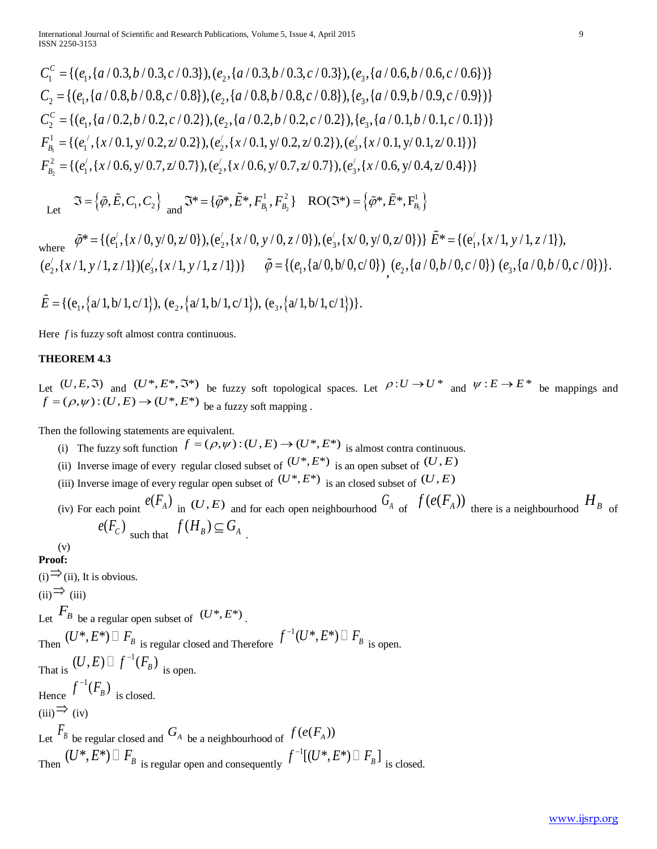$C_1^c = \{(e_1, \{a/0.3, b/0.3, c/0.3\}), (e_2, \{a/0.3, b/0.3, c/0.3\}), (e_3, \{a/0.6, b/0.6, c/0.6\})\}$  $C_2 = \{(e_1, \{a/0.8, b/0.8, c/0.8\}), (e_2, \{a/0.8, b/0.8, c/0.8\}), (e_3, \{a/0.9, b/0.9, c/0.9\})\}$  $C_2^c = \{(e_1, \{a/0.2, b/0.2, c/0.2\}), (e_2, \{a/0.2, b/0.2, c/0.2\}), (e_2, \{a/0.1, b/0.1, c/0.1\})\}$ 1  $F_{B_1}^1 = \{ (e_1^{\prime}, \{x/0.1, y/0.2, z/0.2\}), (e_2^{\prime}, \{x/0.1, y/0.2, z/0.2\}), (e_3^{\prime}, \{x/0.1, y/0.1, z/0.1\}) \}$  $F_{B_2}^2 = \{(e'_1, \{x/0.6, y/0.7, z/0.7\}), (e'_2, \{x/0.6, y/0.7, z/0.7\}), (e'_3, \{x/0.6, y/0.4, z/0.4\})\}$ 

 Let  $\Im = {\{\tilde{\varphi}, \tilde{E}, C_1, C_2\}} \text{ and } \Im^* = {\{\tilde{\varphi}^*, \tilde{E}^*, F_{B_1}^1, F_{B_2}^2\}} \text{ RO}(\Im^*) = {\{\tilde{\varphi}^*, \tilde{E}^*, F_{B_1}^1\}}$ 

where 
$$
\tilde{\varphi}^* = \{ (e'_1, \{x/0, y/0, z/0\}), (e'_2, \{x/0, y/0, z/0\}), (e'_3, \{x/0, y/0, z/0\}) \} \tilde{E}^* = \{ (e'_1, \{x/1, y/1, z/1\}), (e'_2, \{x/1, y/1, z/1\}) (e'_3, \{x/1, y/1, z/1\}) \} \tilde{\varphi} = \{ (e_1, \{a/0, b/0, c/0\}) (e_2, \{a/0, b/0, c/0\}) (e_3, \{a/0, b/0, c/0\}) \}.
$$

$$
\widetilde{E} = \{ (e_1, \{a/1, b/1, c/1\}), (e_2, \{a/1, b/1, c/1\}), (e_3, \{a/1, b/1, c/1\}) \}.
$$

Here *f* is fuzzy soft almost contra continuous.

#### **THEOREM 4.3**

Let  $(U, E, \mathfrak{I})$  and  $(U^*, E^*, \mathfrak{I}^*)$  be fuzzy soft topological spaces. Let  $\rho: U \to U^*$  and  $\psi: E \to E^*$  be mappings and  $f = (\rho, \psi) : (U, E) \rightarrow (U^*, E^*)$  be a fuzzy soft mapping.

Then the following statements are equivalent.

- (i) The fuzzy soft function  $f = (\rho, \psi) : (U, E) \to (U^*, E^*)$  is almost contra continuous.
- (ii) Inverse image of every regular closed subset of  $(U^*, E^*)$  is an open subset of  $(U, E)$
- (iii) Inverse image of every regular open subset of  $(U^*, E^*)$  is an closed subset of  $(U, E)$
- (iv) For each point  $e(F_A)$  in  $(U, E)$  and for each open neighbourhood  $G_A$  of  $f(e(F_A))$  there is a neighbourhood  $H_B$  of  $e(F_c)$  such that  $f(H_B) \subseteq G_A$ .

(v) **Proof:**

 $(i) \rightarrow (ii)$ , It is obvious.  $(ii)$   $\Rightarrow$   $(iii)$ Let  $F_B$  be a regular open subset of  $(U^*, E^*)$ . Then  $(U^*, E^*) \square F_B$  is regular closed and Therefore  $f^{-1}(U^*, E^*) \square F_B$  is open. That is  $(U, E) \square f^{-1}(F_B)$  is open. Hence  $f^{-1}(F_B)$  is closed.  $(iii) \Rightarrow (iv)$ Let  $\overline{F}_B$  be regular closed and  $G_A$  be a neighbourhood of  $f(e(F_A))$ Then  $(U^*, E^*) \square F_B$  is regular open and consequently  $f^{-1}[(U^\divideontimes,E^\divideontimes)\sqcup F_{_B}]\Big|_{\rm is\ closed.}$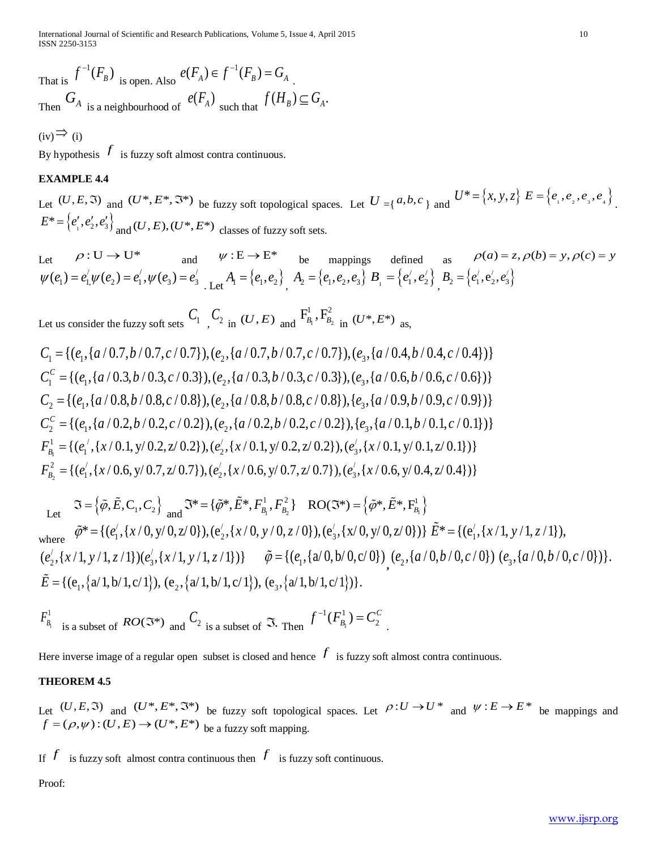International Journal of Scientific and Research Publications, Volume 5, Issue 4, April 2015 10 ISSN 2250-3153

That is  $f^{-1}(F_B)$  is open. Also  $e(F_A) \in f^{-1}(F_B) = G_A$ . Then  $G_A$  is a neighbourhood of  $e(F_A)$  such that  $f(H_B) \subseteq G_A$ .

 $(iv) \Rightarrow (i)$ 

By hypothesis  $f$  is fuzzy soft almost contra continuous.

## **EXAMPLE 4.4**

Let  $(U, E, \mathfrak{I})$  and  $(U^*, E^*, \mathfrak{I}^*)$  be fuzzy soft topological spaces. Let  $U = \{a, b, c\}$  and  $U^* = \{x, y, z\}$   $E = \{e_1, e_2, e_3, e_4\}$ .  $E^* = \{e'_1, e'_2, e'_3\}$ <sub>and</sub>  $(U, E), (U^*, E^*)$  classes of fuzzy soft sets.

Let  $\rho: U \to U^*$  and  $\psi: E \to E^*$  be mappings defined as  $\rho(a) = z, \rho(b) = y, \rho(c) = y$  $\psi(e_1) = e'_1 \psi(e_2) = e'_1, \psi(e_3) = e'_3$  Let  $A_1 = \{e_1, e_2\}$ ,  $A_2 = \{e_1, e_2, e_3\}$   $B_1 = \{e'_1, e'_2\}$ ,  $B_2 = \{e'_1, e'_2, e'_3\}$ 

Let us consider the fuzzy soft sets  $C_1$ ,  $C_2$  in  $(U, E)$  and  $F_{B_1}^1, F_{B_2}^2$  in  $(U^*, E^*)$  as,

 $C_1 = \{ (e_1, \{a/0.7, b/0.7, c/0.7\}), (e_2, \{a/0.7, b/0.7, c/0.7\}), (e_3, \{a/0.4, b/0.4, c/0.4\}) \}$  $C_1^c = \{(e_1, \{a/0.3, b/0.3, c/0.3\}), (e_2, \{a/0.3, b/0.3, c/0.3\}), (e_3, \{a/0.6, b/0.6, c/0.6\})\}$  $C_2 = \{(e_1, \{a/0.8, b/0.8, c/0.8\}), (e_2, \{a/0.8, b/0.8, c/0.8\}), (e_3, \{a/0.9, b/0.9, c/0.9\})\}$  $C_2^c = \{(e_1, \{a/0.2, b/0.2, c/0.2\}), (e_2, \{a/0.2, b/0.2, c/0.2\}), (e_3, \{a/0.1, b/0.1, c/0.1\})\}$ 1  $F_{B_1}^1 = \{ (e_1^{\prime}, \{x/0.1, y/0.2, z/0.2\}), (e_2^{\prime}, \{x/0.1, y/0.2, z/0.2\}), (e_3^{\prime}, \{x/0.1, y/0.1, z/0.1\}) \}$ 2  $F_{B_2}^2 = \{(e_1', (x/0.6, y/0.7, z/0.7)), (e_2', (x/0.6, y/0.7, z/0.7)), (e_3', (x/0.6, y/0.4, z/0.4))\}$ 

Let 
$$
\mathfrak{I} = \{\tilde{\varphi}, \tilde{E}, C_1, C_2\} \text{ and } \mathfrak{I}^* = \{\tilde{\varphi}^*, \tilde{E}^*, F_{B_1}^1, F_{B_2}^2\} \text{ RO}(\mathfrak{I}^*) = \{\tilde{\varphi}^*, \tilde{E}^*, F_{B_1}^1\}
$$
\nwhere 
$$
\tilde{\varphi}^* = \{(e'_1, \{x/0, y/0, z/0\}), (e'_2, \{x/0, y/0, z/0\}), (e'_3, \{x/0, y/0, z/0\})\} \tilde{E}^* = \{(e'_1, \{x/1, y/1, z/1\}), (e'_2, \{x/1, y/1, z/1\})\} \tilde{\varphi} = \{(e_1, \{a/0, b/0, c/0\}) \ (e_2, \{a/0, b/0, c/0\}) \ (e_3, \{a/0, b/0, c/0\})\}.
$$
\n
$$
\tilde{E} = \{(e_1, \{a/1, b/1, c/1\}), (e_2, \{a/1, b/1, c/1\}), (e_3, \{a/1, b/1, c/1\})\}.
$$

$$
F_{B_1}^1
$$
 is a subset of  $RO(\mathfrak{F}^*)$  and  $C_2$  is a subset of  $\mathfrak{F}$ . Then  $f^{-1}(F_{B_1}^1) = C_2^C$ .

Here inverse image of a regular open subset is closed and hence  $f$  is fuzzy soft almost contra continuous.

## **THEOREM 4.5**

Let  $(U, E, \mathfrak{I})$  and  $(U^*, E^*, \mathfrak{I}^*)$  be fuzzy soft topological spaces. Let  $\rho: U \to U^*$  and  $\psi: E \to E^*$  be mappings and  $f = (\rho, \psi) : (U, E) \rightarrow (U^*, E^*)$  be a fuzzy soft mapping.

If  $f$  is fuzzy soft almost contra continuous then  $f$  is fuzzy soft continuous.

Proof: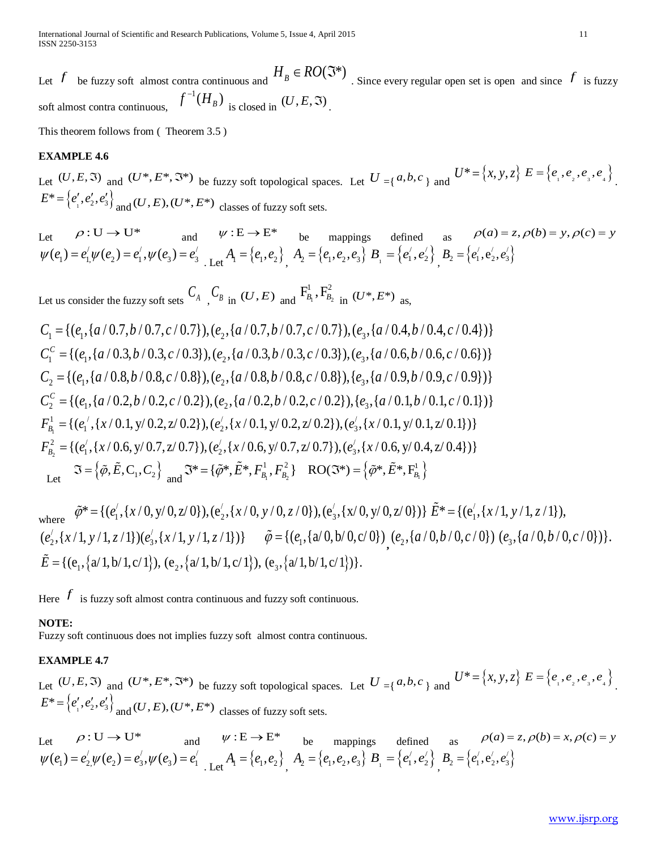Let  $f$  be fuzzy soft almost contra continuous and  $H_B \in RO(\mathfrak{I}^*)$ . Since every regular open set is open and since  $f$  is fuzzy soft almost contra continuous,  $f^{-1}(H_B)$  is closed in  $(U, E, \mathfrak{S})$ .

This theorem follows from ( Theorem 3.5 )

#### **EXAMPLE 4.6**

Let  $(U, E, \mathfrak{I})$  and  $(U^*, E^*, \mathfrak{I}^*)$  be fuzzy soft topological spaces. Let  $U = \{a, b, c\}$  and  $U^* = \{x, y, z\}$   $E = \{e_1, e_2, e_3, e_4\}$ .  $E^* = \{e'_1, e'_2, e'_3\}$ <sub>and</sub>  $(U, E), (U^*, E^*)$  classes of fuzzy soft sets.

Let 
$$
\rho: U \to U^*
$$
 and  $\psi: E \to E^*$  be mappings defined as  $\rho(a) = z, \rho(b) = y, \rho(c) = y$   
\n $\psi(e_1) = e'_1 \psi(e_2) = e'_1, \psi(e_3) = e'_3$   
\nLet  $A_1 = \{e_1, e_2\}$   $A_2 = \{e_1, e_2, e_3\}$   $B_1 = \{e'_1, e'_2\}$   $B_2 = \{e'_1, e'_2, e'_3\}$ 

Let us consider the fuzzy soft sets  $C_A$ ,  $C_B$  in  $(U, E)$  and  $F_{B_1}^1, F_{B_2}^2$  in  $(U^*, E^*)$  as,

$$
C_1 = \{ (e_1, \{a/0.7, b/0.7, c/0.7\}), (e_2, \{a/0.7, b/0.7, c/0.7\}), (e_3, \{a/0.4, b/0.4, c/0.4\}) \}
$$
  
\n
$$
C_1^c = \{ (e_1, \{a/0.3, b/0.3, c/0.3\}), (e_2, \{a/0.3, b/0.3, c/0.3\}), (e_3, \{a/0.6, b/0.6, c/0.6\}) \}
$$
  
\n
$$
C_2 = \{ (e_1, \{a/0.8, b/0.8, c/0.8\}), (e_2, \{a/0.8, b/0.8, c/0.8\}), (e_3, \{a/0.9, b/0.9, c/0.9\}) \}
$$
  
\n
$$
C_2^c = \{ (e_1, \{a/0.2, b/0.2, c/0.2\}), (e_2, \{a/0.2, b/0.2, c/0.2\}), (e_3, \{a/0.1, b/0.1, c/0.1\}) \}
$$
  
\n
$$
F_{B_1}^1 = \{ (e_1', \{x/0.1, y/0.2, z/0.2\}), (e_2', \{x/0.1, y/0.2, z/0.2\}), (e_3', \{x/0.1, y/0.1, z/0.1\}) \}
$$
  
\n
$$
F_{B_2}^2 = \{ (e_1', \{x/0.6, y/0.7, z/0.7\}), (e_2', \{x/0.6, y/0.7, z/0.7\}), (e_3', \{x/0.6, y/0.4, z/0.4\}) \}
$$
  
\nLet  $\Im = \{\tilde{\varphi}, \tilde{E}, C_1, C_2\}$  and  $\Im^* = \{\tilde{\varphi}^*, \tilde{E}^*, F_{B_1}^1, F_{B_2}^2\}$   $RO(\Im^*) = \{\tilde{\varphi}^*, \tilde{E}^*, F_{B_1}^1\}$ 

where  $\tilde{\varphi}^* = \{ (e_1', \{x/0, y/0, z/0\}), (e_2', \{x/0, y/0, z/0\}), (e_3', \{x/0, y/0, z/0\}) \} \tilde{E}^* = \{ (e_1', \{x/1, y/1, z/1\}), (e_2', \{x/0, y/0, z/0\}) \} \tilde{E}^* = \{ (e_1', \{x/1, y/0, z/0\}), (e_2', \{x/0, y/0, z/0\}) \}$  $(e'_2, \{x/1, y/1, z/1\})(e'_3, \{x/1, y/1, z/1\})\}$   $\tilde{\varphi} = \{(e_1, \{a/0, b/0, c/0\})$ <sub>,</sub>  $(e_2, \{a/0, b/0, c/0\})$   $(e_3, \{a/0, b/0, c/0\})\}$ .  $\tilde{E} = \{ (e_1, \{a/1, b/1, c/1\}), (e_2, \{a/1, b/1, c/1\}), (e_3, \{a/1, b/1, c/1\}) \}.$ 

Here  $f$  is fuzzy soft almost contra continuous and fuzzy soft continuous.

#### **NOTE:**

Fuzzy soft continuous does not implies fuzzy soft almost contra continuous.

### **EXAMPLE 4.7**

Let  $(U, E, \mathfrak{I})$  and  $(U^*, E^*, \mathfrak{I}^*)$  be fuzzy soft topological spaces. Let  $U = \{a, b, c\}$  and  $U^* = \{x, y, z\}$   $E = \{e_1, e_2, e_3, e_4\}$ .  $E^* = \{e'_1, e'_2, e'_3\}$ <sub>and</sub>  $(U, E), (U^*, E^*)$  classes of fuzzy soft sets.

Let  $\rho: U \to U^*$  and  $\psi: E \to E^*$  be mappings defined as  $\rho(a) = z, \rho(b) = x, \rho(c) = y$  $\psi(e_1) = e'_2 \psi(e_2) = e'_3, \psi(e_3) = e'_1$  Let  $A_1 = \{e_1, e_2\}$ ,  $A_2 = \{e_1, e_2, e_3\}$   $B_1 = \{e'_1, e'_2\}$ ,  $B_2 = \{e'_1, e'_2, e'_3\}$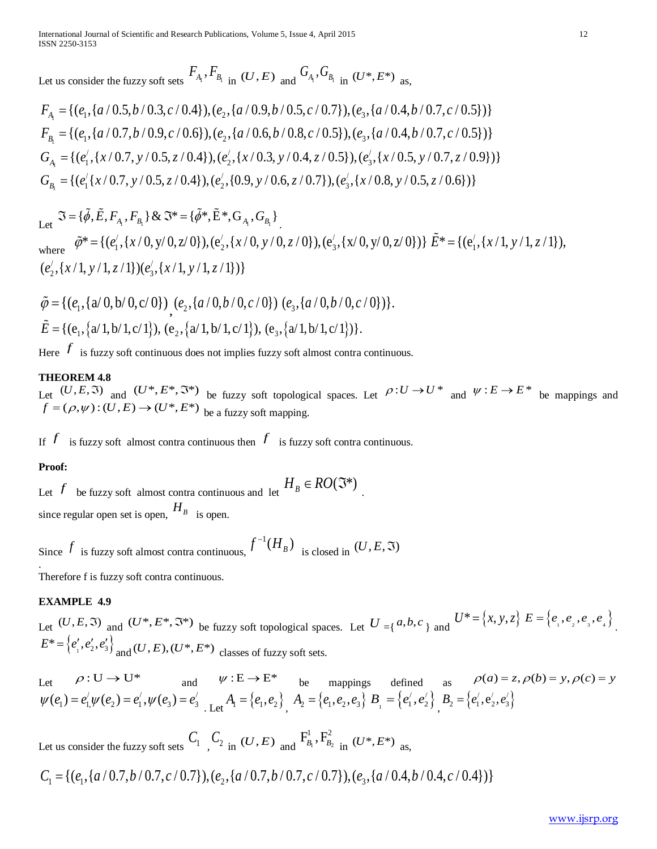Let us consider the fuzzy soft sets  $F_{A_1}$ ,  $F_{B_1}$  in  $(U, E)$  and  $G_{A_1}$ ,  $G_{B_1}$  in  $(U^*, E^*)$  as,

$$
F_{A_1} = \{ (e_1, \{a/0.5, b/0.3, c/0.4\}), (e_2, \{a/0.9, b/0.5, c/0.7\}), (e_3, \{a/0.4, b/0.7, c/0.5\}) \}
$$
  
\n
$$
F_{B_1} = \{ (e_1, \{a/0.7, b/0.9, c/0.6\}), (e_2, \{a/0.6, b/0.8, c/0.5\}), (e_3, \{a/0.4, b/0.7, c/0.5\}) \}
$$
  
\n
$$
G_{A_1} = \{ (e_1', \{x/0.7, y/0.5, z/0.4\}), (e_2', \{x/0.3, y/0.4, z/0.5\}), (e_3', \{x/0.5, y/0.7, z/0.9\}) \}
$$
  
\n
$$
G_{B_1} = \{ (e_1' \{x/0.7, y/0.5, z/0.4\}), (e_2', \{0.9, y/0.6, z/0.7\}), (e_3', \{x/0.8, y/0.5, z/0.6\}) \}
$$

Let  $\Im$  = { $\tilde{\phi}$ ,  $\tilde{E}$ ,  $F_{A_1}$ ,  $F_{B_1}$ } &  $\Im$ \* = { $\tilde{\phi}$ \*,  $\tilde{E}$ \*,  $G_{A_1}$ ,  $G_{B_1}$ } where  $\tilde{\varphi}^* = \{ (e_1', \{x/0, y/0, z/0\}), (e_2', \{x/0, y/0, z/0\}), (e_3', \{x/0, y/0, z/0\}) \} \tilde{E}^* = \{ (e_1', \{x/1, y/1, z/1\}), (e_2', \{x/0, y/0, z/0\}) \} \tilde{E}^* = \{ (e_1', \{x/1, y/0, z/0\}), (e_2', \{x/0, y/0, z/0\}) \}$  $(e'_2, \{x/1, y/1, z/1\}) (e'_3, \{x/1, y/1, z/1\})\}$ 

$$
\tilde{\varphi} = \{ (e_1, \{a/0, b/0, c/0\}) , (e_2, \{a/0, b/0, c/0\}) (e_3, \{a/0, b/0, c/0\}) \}.
$$
  

$$
\tilde{E} = \{ (e_1, \{a/1, b/1, c/1\}), (e_2, \{a/1, b/1, c/1\}), (e_3, \{a/1, b/1, c/1\}) \}.
$$

Here  $f$  is fuzzy soft continuous does not implies fuzzy soft almost contra continuous.

## **THEOREM 4.8**

Let  $(U, E, \mathfrak{I})$  and  $(U^*, E^*, \mathfrak{I}^*)$  be fuzzy soft topological spaces. Let  $\rho: U \to U^*$  and  $\psi: E \to E^*$  be mappings and  $f = (\rho, \psi) : (U, E) \rightarrow (U^*, E^*)$  be a fuzzy soft mapping.

If  $f$  is fuzzy soft almost contra continuous then  $f$  is fuzzy soft contra continuous.

## **Proof:**

Let *f* be fuzzy soft almost contra continuous and let  $H_B \in RO(\mathfrak{F}^*)$ since regular open set is open,  $H_B$  is open.

Since  $f$  is fuzzy soft almost contra continuous,  $f^{-1}(H_B)$  is closed in  $(U, E, \Im)$ .

Therefore f is fuzzy soft contra continuous.

## **EXAMPLE 4.9**

Let  $(U, E, \mathfrak{I})$  and  $(U^*, E^*, \mathfrak{I}^*)$  be fuzzy soft topological spaces. Let  $U = \{a, b, c\}$  and  $U^* = \{x, y, z\}$   $E = \{e_1, e_2, e_3, e_4\}$ .  $E^* = \{e'_1, e'_2, e'_3\}$ <sub>and</sub>  $(U, E), (U^*, E^*)$  classes of fuzzy soft sets.

Let  $\rho: U \to U^*$  and  $\psi: E \to E^*$  be mappings defined as  $\rho(a) = z, \rho(b) = y, \rho(c) = y$  $\psi(e_1) = e'_1 \psi(e_2) = e'_1, \psi(e_3) = e'_3$  Let  $A_1 = \{e_1, e_2\}$ ,  $A_2 = \{e_1, e_2, e_3\}$   $B_1 = \{e'_1, e'_2\}$ ,  $B_2 = \{e'_1, e'_2, e'_3\}$ 

Let us consider the fuzzy soft sets  $C_1$ ,  $C_2$  in  $(U, E)$  and  $F_{B_1}^1, F_{B_2}^2$  in  $(U^*, E^*)$  as,

$$
C_1 = \{ (e_1, \{a/0.7, b/0.7, c/0.7\}), (e_2, \{a/0.7, b/0.7, c/0.7\}), (e_3, \{a/0.4, b/0.4, c/0.4\}) \}
$$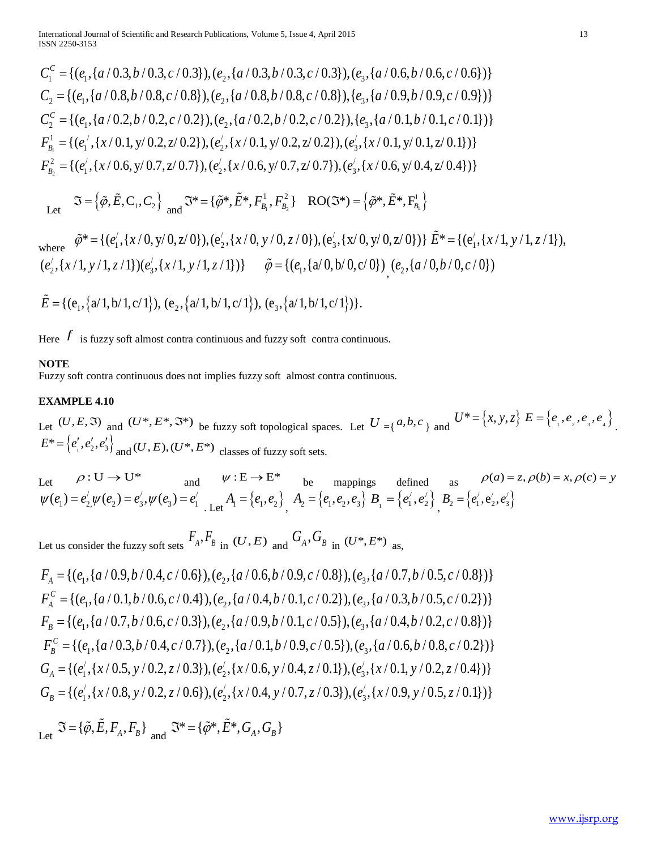$C_1^c = \{(e_1, \{a/0.3, b/0.3, c/0.3\}), (e_2, \{a/0.3, b/0.3, c/0.3\}), (e_3, \{a/0.6, b/0.6, c/0.6\})\}$  $C_2 = \{(e_1, \{a/0.8, b/0.8, c/0.8\}), (e_2, \{a/0.8, b/0.8, c/0.8\}), (e_3, \{a/0.9, b/0.9, c/0.9\})\}$  $C_2^c = \{(e_1, \{a/0.2, b/0.2, c/0.2\}), (e_2, \{a/0.2, b/0.2, c/0.2\}), (e_2, \{a/0.1, b/0.1, c/0.1\})\}$ 1  $F_{B_1}^1 = \{ (e_1^{\prime}, \{x/0.1, y/0.2, z/0.2\}), (e_2^{\prime}, \{x/0.1, y/0.2, z/0.2\}), (e_3^{\prime}, \{x/0.1, y/0.1, z/0.1\}) \}$  $F_{B_2}^2 = \{(e'_1, \{x/0.6, y/0.7, z/0.7\}), (e'_2, \{x/0.6, y/0.7, z/0.7\}), (e'_3, \{x/0.6, y/0.4, z/0.4\})\}$ 

Let  $\mathfrak{I} = \left\{ \tilde{\varphi}, \tilde{E}, C_1, C_2 \right\}$  and  $\mathfrak{I}^* = \left\{ \tilde{\varphi}^*, \tilde{E}^*, F_{B_1}^1, F_{B_2}^2 \right\}$  RO( $\mathfrak{I}^* = \left\{ \tilde{\varphi}^*, \tilde{E}^*, F_{B_1}^1 \right\}$ 

where 
$$
\tilde{\varphi}^* = \{(e'_1, \{x/0, y/0, z/0\}), (e'_2, \{x/0, y/0, z/0\}), (e'_3, \{x/0, y/0, z/0\})\}\tilde{E}^* = \{(e'_1, \{x/1, y/1, z/1\}), (e'_2, \{x/1, y/1, z/1\})\}\tilde{\varphi} = \{(e_1, \{a/0, b/0, c/0\}) (e_2, \{a/0, b/0, c/0\})
$$

$$
\tilde{E} = \{ (e_1, \{a/1, b/1, c/1\}), (e_2, \{a/1, b/1, c/1\}), (e_3, \{a/1, b/1, c/1\}) \}.
$$

Here  $f$  is fuzzy soft almost contra continuous and fuzzy soft contra continuous.

#### **NOTE**

Fuzzy soft contra continuous does not implies fuzzy soft almost contra continuous.

#### **EXAMPLE 4.10**

Let  $(U, E, \mathfrak{I})$  and  $(U^*, E^*, \mathfrak{I}^*)$  be fuzzy soft topological spaces. Let  $U = \{a, b, c\}$  and  $U^* = \{x, y, z\}$   $E = \{e_1, e_2, e_3, e_4\}$ .  $E^* = \{e'_1, e'_2, e'_3\}$ <sub>and</sub>  $(U, E), (U^*, E^*)$  classes of fuzzy soft sets.

Let  $\rho: U \to U^*$  and  $\psi: E \to E^*$  be mappings defined as  $\rho(a) = z, \rho(b) = x, \rho(c) = y$  $\psi(e_1) = e'_2 \psi(e_2) = e'_3, \psi(e_3) = e'_1$  Let  $A_1 = \{e_1, e_2\}$ ,  $A_2 = \{e_1, e_2, e_3\}$   $B_1 = \{e'_1, e'_2\}$ ,  $B_2 = \{e'_1, e'_2, e'_3\}$ 

Let us consider the fuzzy soft sets  $F_A, F_B$  in  $(U, E)$  and  $G_A, G_B$  in  $(U^*, E^*)$  as,

$$
F_A = \{(e_1, \{a/0.9, b/0.4, c/0.6\}), (e_2, \{a/0.6, b/0.9, c/0.8\}), (e_3, \{a/0.7, b/0.5, c/0.8\})\}
$$
  
\n
$$
F_A^C = \{(e_1, \{a/0.1, b/0.6, c/0.4\}), (e_2, \{a/0.4, b/0.1, c/0.2\}), (e_3, \{a/0.3, b/0.5, c/0.2\})\}
$$
  
\n
$$
F_B = \{(e_1, \{a/0.7, b/0.6, c/0.3\}), (e_2, \{a/0.9, b/0.1, c/0.5\}), (e_3, \{a/0.4, b/0.2, c/0.8\})\}
$$
  
\n
$$
F_B^C = \{(e_1, \{a/0.3, b/0.4, c/0.7\}), (e_2, \{a/0.1, b/0.9, c/0.5\}), (e_3, \{a/0.6, b/0.8, c/0.2\})\}
$$
  
\n
$$
G_A = \{(e_1', \{x/0.5, y/0.2, z/0.3\}), (e_2', \{x/0.6, y/0.4, z/0.1\}), (e_3', \{x/0.1, y/0.2, z/0.4\})\}
$$
  
\n
$$
G_B = \{(e_1', \{x/0.8, y/0.2, z/0.6\}), (e_2', \{x/0.4, y/0.7, z/0.3\}), (e_3', \{x/0.9, y/0.5, z/0.1\})\}
$$

 $\mathfrak{J} = {\{\tilde{\varphi}, \tilde{E}, F_A, F_B\}}$  and  $\mathfrak{J}^* = {\{\tilde{\varphi}^*, \tilde{E}^*, G_A, G_B\}}$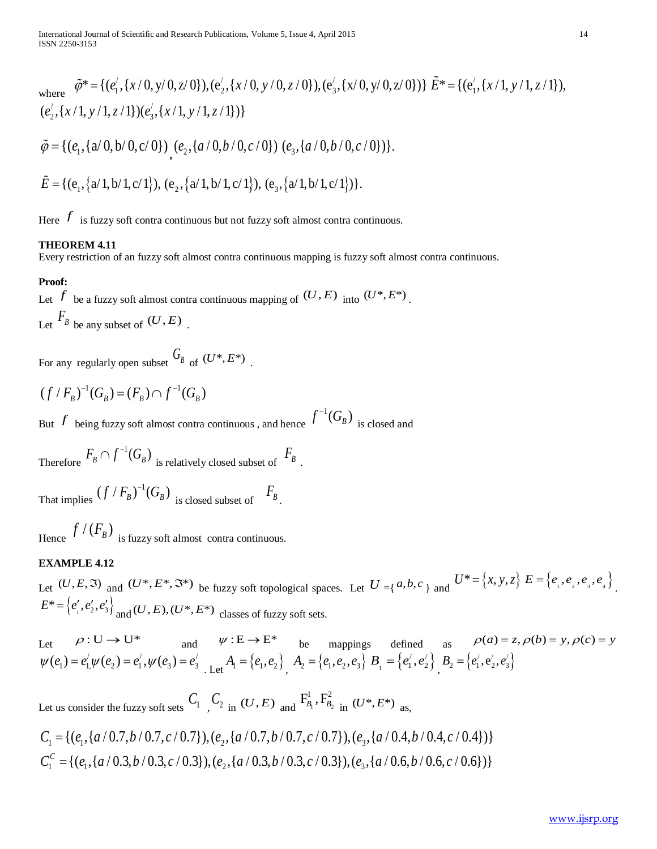where 
$$
\tilde{\varphi}^* = \{(e'_1, \{x/0, y/0, z/0\}), (e'_2, \{x/0, y/0, z/0\}), (e'_3, \{x/0, y/0, z/0\})\} \tilde{E}^* = \{(e'_1, \{x/1, y/1, z/1\}), (e'_2, \{x/1, y/1, z/1\})\}.
$$

$$
\tilde{\varphi} = \{ (e_1, \{a/0, b/0, c/0\}) , (e_2, \{a/0, b/0, c/0\}) (e_3, \{a/0, b/0, c/0\}) \}.
$$

$$
\tilde{E} = \{ (e_1, \{a/1, b/1, c/1\}), (e_2, \{a/1, b/1, c/1\}), (e_3, \{a/1, b/1, c/1\}) \}.
$$

Here  $f$  is fuzzy soft contra continuous but not fuzzy soft almost contra continuous.

## **THEOREM 4.11**

Every restriction of an fuzzy soft almost contra continuous mapping is fuzzy soft almost contra continuous.

## **Proof:**

Let *f* be a fuzzy soft almost contra continuous mapping of  $(U, E)$  into  $(U^*, E^*)$ . Let  $F_B$  be any subset of  $(U, E)$ .

For any regularly open subset  $G_B$  of  $(U^*, E^*)$ .

 $(f / F_p)^{-1}(G_p) = (F_p) \cap f^{-1}(G_p)$ 

But  $f$  being fuzzy soft almost contra continuous , and hence  $f^{-1}(G_{\scriptscriptstyle \it B})$  is closed and

Therefore  $F_B \cap f^{-1}(G_B)$  is relatively closed subset of  $\overline{F}_B$ .

That implies  $(f / F_B)^{-1}(G_B)$  is closed subset of  $F_B$ .

Hence  $f/(F_B)$  is fuzzy soft almost contra continuous.

## **EXAMPLE 4.12**

Let  $(U, E, \mathfrak{I})$  and  $(U^*, E^*, \mathfrak{I}^*)$  be fuzzy soft topological spaces. Let  $U = \{a, b, c\}$  and  $U^* = \{x, y, z\}$   $E = \{e_1, e_2, e_3, e_4\}$ .  $E^* = \{e'_1, e'_2, e'_3\}$ <sub>and</sub>  $(U, E), (U^*, E^*)$  classes of fuzzy soft sets.

Let  $\rho: U \to U^*$  and  $\psi: E \to E^*$  be mappings defined as  $\rho(a) = z, \rho(b) = y, \rho(c) = y$  $\psi(e_1) = e'_1 \psi(e_2) = e'_1, \psi(e_3) = e'_3$  Let  $A_1 = \{e_1, e_2\}$ ,  $A_2 = \{e_1, e_2, e_3\}$   $B_1 = \{e'_1, e'_2\}$ ,  $B_2 = \{e'_1, e'_2, e'_3\}$ 

Let us consider the fuzzy soft sets  $C_1$ ,  $C_2$  in  $(U, E)$  and  $F_{B_1}^1, F_{B_2}^2$  in  $(U^*, E^*)$  as,

$$
C_1 = \{ (e_1, \{a/0.7, b/0.7, c/0.7\}), (e_2, \{a/0.7, b/0.7, c/0.7\}), (e_3, \{a/0.4, b/0.4, c/0.4\}) \}
$$
  

$$
C_1^c = \{ (e_1, \{a/0.3, b/0.3, c/0.3\}), (e_2, \{a/0.3, b/0.3, c/0.3\}), (e_3, \{a/0.6, b/0.6, c/0.6\}) \}
$$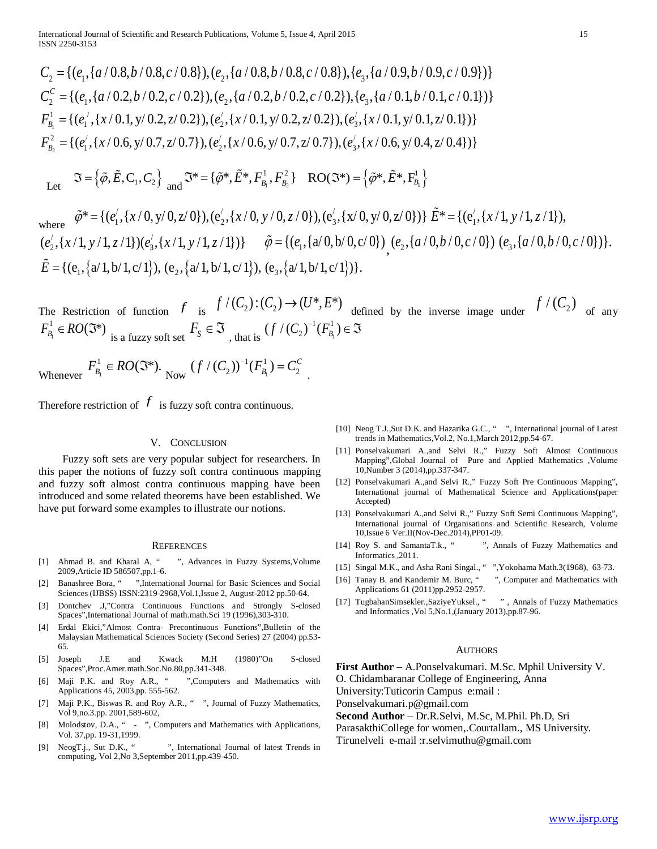$C_2 = \{(e_1, \{a/0.8, b/0.8, c/0.8\}), (e_2, \{a/0.8, b/0.8, c/0.8\}), (e_3, \{a/0.9, b/0.9, c/0.9\})\}$  $C_2^c = \{(e_1, \{a/0.2, b/0.2, c/0.2\}), (e_2, \{a/0.2, b/0.2, c/0.2\}), (e_3, \{a/0.1, b/0.1, c/0.1\})\}$ 1  $F_{B_1}^1 = \{ (e_1^{\prime}, \{x/0.1, y/0.2, z/0.2\}), (e_2^{\prime}, \{x/0.1, y/0.2, z/0.2\}), (e_3^{\prime}, \{x/0.1, y/0.1, z/0.1\}) \}$ 2  $F_{B_2}^2 = \{(e_1', (x/0.6, y/0.7, z/0.7)), (e_2', (x/0.6, y/0.7, z/0.7)), (e_3', (x/0.6, y/0.4, z/0.4))\}$ 

 Let  $\Im = {\tilde{\varphi}, \tilde{E}, C_1, C_2} \quad \text{and} \quad \Im^* = {\tilde{\varphi}^*, \tilde{E}^*, F_{B_1}^1, F_{B_2}^2} \quad \text{RO}(\Im^*) = {\tilde{\varphi}^*, \tilde{E}^*, F_{B_1}^1}$ 

where 
$$
\tilde{\varphi}^* = \{ (e'_1, \{x/0, y/0, z/0\}), (e'_2, \{x/0, y/0, z/0\}), (e'_3, \{x/0, y/0, z/0\}) \} \tilde{E}^* = \{ (e'_1, \{x/1, y/1, z/1\}), (e'_2, \{x/1, y/1, z/1\}) (e'_3, \{x/1, y/1, z/1\}) \} \tilde{\varphi} = \{ (e_1, \{a/0, b/0, c/0\}) (e_2, \{a/0, b/0, c/0\}) (e_3, \{a/0, b/0, c/0\}) \}.
$$
  
 $\tilde{E} = \{ (e_1, \{a/1, b/1, c/1\}), (e_2, \{a/1, b/1, c/1\}), (e_3, \{a/1, b/1, c/1\}) \}.$ 

The Restriction of function  $f$  is  $f'(C_2): (C_2) \to (U^*, E^*)$  defined by the inverse image under  $f'(C_2)$  of any  $F_{B_1}^1 \in RO(\mathfrak{I}^*)$  is a fuzzy soft set  $F_S \in \mathfrak{I}$ , that is  $(f/(C_2)^{-1}(F_{B_1}^1))$  $(f/(C_2)^{-1}(F_{B_1}^1) \in \mathfrak{I}$ 

Whenever  $F_{B_1}^1 \in RO(\mathfrak{F}^*)$ . Now  $(f/(C_2))^{-1}(F_{B_1}^1)$  $(f/(C_2))^{-1}(F_{B_1}^1) = C_2^C$ .

Therefore restriction of  $f$  is fuzzy soft contra continuous.

#### V. CONCLUSION

 Fuzzy soft sets are very popular subject for researchers. In this paper the notions of fuzzy soft contra continuous mapping and fuzzy soft almost contra continuous mapping have been introduced and some related theorems have been established. We have put forward some examples to illustrate our notions.

#### **REFERENCES**

- [1] Ahmad B. and Kharal A, " ", Advances in Fuzzy Systems,Volume 2009,Article ID 586507,pp.1-6.
- [2] Banashree Bora, " ",International Journal for Basic Sciences and Social Sciences (IJBSS) ISSN:2319-2968,Vol.1,Issue 2, August-2012 pp.50-64.
- [3] Dontchev .J,"Contra Continuous Functions and Strongly S-closed Spaces",International Journal of math.math.Sci 19 (1996),303-310.
- [4] Erdal Ekici,"Almost Contra- Precontinuous Functions",Bulletin of the Malaysian Mathematical Sciences Society (Second Series) 27 (2004) pp.53- 65.
- [5] Joseph J.E and Kwack M.H (1980)"On S-closed Spaces",Proc.Amer.math.Soc.No.80,pp.341-348.
- [6] Maji P.K. and Roy A.R., " ",Computers and Mathematics with Applications 45, 2003,pp. 555-562.
- [7] Maji P.K., Biswas R. and Roy A.R., " ", Journal of Fuzzy Mathematics, Vol 9,no.3.pp. 2001,589-602,
- [8] Molodstov, D.A., " ", Computers and Mathematics with Applications, Vol. 37,pp. 19-31,1999.
- [9] NeogT.j., Sut D.K., "", International Journal of latest Trends in computing, Vol 2,No 3,September 2011,pp.439-450.
- [10] Neog T.J.,Sut D.K. and Hazarika G.C., " ", International journal of Latest trends in Mathematics,Vol.2, No.1,March 2012,pp.54-67.
- [11] Ponselvakumari A.,and Selvi R.," Fuzzy Soft Almost Continuous Mapping",Global Journal of Pure and Applied Mathematics ,Volume 10,Number 3 (2014),pp.337-347.
- [12] Ponselvakumari A.,and Selvi R.," Fuzzy Soft Pre Continuous Mapping", International journal of Mathematical Science and Applications(paper Accepted)
- [13] Ponselvakumari A.,and Selvi R.," Fuzzy Soft Semi Continuous Mapping", International journal of Organisations and Scientific Research, Volume 10,Issue 6 Ver.II(Nov-Dec.2014),PP01-09.
- [14] Roy S. and SamantaT.k., "", Annals of Fuzzy Mathematics and Informatics ,2011.
- [15] Singal M.K., and Asha Rani Singal., " ", Yokohama Math.3(1968), 63-73.
- [16] Tanay B. and Kandemir M. Burc, " ", Computer and Mathematics with Applications 61 (2011)pp.2952-2957.
- [17] TugbahanSimsekler.,SaziyeYuksel., "", Annals of Fuzzy Mathematics and Informatics ,Vol 5,No.1,(January 2013),pp.87-96.

#### AUTHORS

**First Author** – A.Ponselvakumari. M.Sc. Mphil University V.

O. Chidambaranar College of Engineering, Anna

University:Tuticorin Campus e:mail :

Ponselvakumari.p@gmail.com

**Second Author** – Dr.R.Selvi, M.Sc, M.Phil. Ph.D, Sri

ParasakthiCollege for women,.Courtallam., MS University.

Tirunelveli e-mail :r.selvimuthu@gmail.com